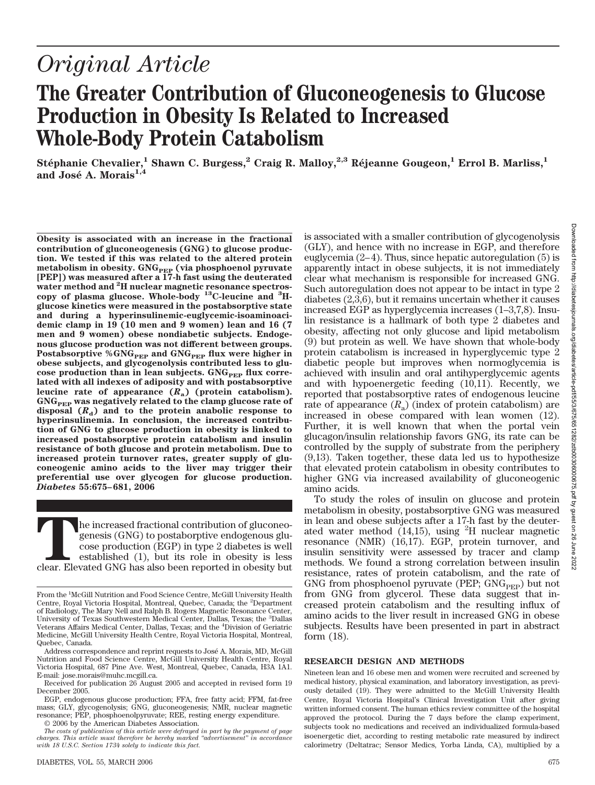# *Original Article*

# **The Greater Contribution of Gluconeogenesis to Glucose Production in Obesity Is Related to Increased Whole-Body Protein Catabolism**

 $Stéphanie Chevalier<sup>1</sup>, Shawn C. Burgess<sup>2</sup>, Craig R. Malloy<sup>2,3</sup>, Réjeanne Gougeon<sup>1</sup>, Errol B. Marliss<sup>1</sup>,$ and José A. Morais<sup>1,4</sup>

**Obesity is associated with an increase in the fractional contribution of gluconeogenesis (GNG) to glucose production. We tested if this was related to the altered protein** metabolism in obesity. GNG<sub>PEP</sub> (via phosphoenol pyruvate<br>[PEP]) was measured after a 17-h fast using the deuterated **water method and <sup>2</sup> H nuclear magnetic resonance spectroscopy of plasma glucose. Whole-body 13C-leucine and <sup>3</sup> Hglucose kinetics were measured in the postabsorptive state and during a hyperinsulinemic-euglycemic-isoaminoacidemic clamp in 19 (10 men and 9 women) lean and 16 (7 men and 9 women) obese nondiabetic subjects. Endogenous glucose production was not different between groups. Postabsorptive %GNG<sub>PEP</sub> and GNG<sub>PEP</sub> flux were higher in obese subjects, and glycogenolysis contributed less to glu**cose production than in lean subjects. GNG<sub>PEP</sub> flux corre**lated with all indexes of adiposity and with postabsorptive leucine rate of appearance (***R***a) (protein catabolism). GNGPEP was negatively related to the clamp glucose rate of** disposal  $(R_d)$  and to the protein anabolic response to **hyperinsulinemia. In conclusion, the increased contribution of GNG to glucose production in obesity is linked to increased postabsorptive protein catabolism and insulin resistance of both glucose and protein metabolism. Due to increased protein turnover rates, greater supply of gluconeogenic amino acids to the liver may trigger their preferential use over glycogen for glucose production.** *Diabetes* **55:675–681, 2006**

The increased fractional contribution of gluconeogenesis (GNG) to postaborptive endogenous glucose production (EGP) in type 2 diabetes is well established (1), but its role in obesity is less clear. Elevated GNG has also b genesis (GNG) to postaborptive endogenous glucose production (EGP) in type 2 diabetes is well established (1), but its role in obesity is less

© 2006 by the American Diabetes Association.

is associated with a smaller contribution of glycogenolysis (GLY), and hence with no increase in EGP, and therefore euglycemia (2–4). Thus, since hepatic autoregulation (5) is apparently intact in obese subjects, it is not immediately clear what mechanism is responsible for increased GNG. Such autoregulation does not appear to be intact in type 2 diabetes (2,3,6), but it remains uncertain whether it causes increased EGP as hyperglycemia increases (1–3,7,8). Insulin resistance is a hallmark of both type 2 diabetes and obesity, affecting not only glucose and lipid metabolism (9) but protein as well. We have shown that whole-body protein catabolism is increased in hyperglycemic type 2 diabetic people but improves when normoglycemia is achieved with insulin and oral antihyperglycemic agents and with hypoenergetic feeding (10,11). Recently, we reported that postabsorptive rates of endogenous leucine rate of appearance  $(R<sub>a</sub>)$  (index of protein catabolism) are increased in obese compared with lean women (12). Further, it is well known that when the portal vein glucagon/insulin relationship favors GNG, its rate can be controlled by the supply of substrate from the periphery (9,13). Taken together, these data led us to hypothesize that elevated protein catabolism in obesity contributes to higher GNG via increased availability of gluconeogenic amino acids.

To study the roles of insulin on glucose and protein metabolism in obesity, postabsorptive GNG was measured in lean and obese subjects after a 17-h fast by the deuterated water method  $(14,15)$ , using <sup>2</sup>H nuclear magnetic resonance (NMR) (16,17). EGP, protein turnover, and insulin sensitivity were assessed by tracer and clamp methods. We found a strong correlation between insulin resistance, rates of protein catabolism, and the rate of GNG from phosphoenol pyruvate (PEP;  $GNG_{PEP}$ ) but not from GNG from glycerol. These data suggest that increased protein catabolism and the resulting influx of amino acids to the liver result in increased GNG in obese subjects. Results have been presented in part in abstract form (18).

## **RESEARCH DESIGN AND METHODS**

Nineteen lean and 16 obese men and women were recruited and screened by medical history, physical examination, and laboratory investigation, as previously detailed (19). They were admitted to the McGill University Health Centre, Royal Victoria Hospital's Clinical Investigation Unit after giving written informed consent. The human ethics review committee of the hospital approved the protocol. During the 7 days before the clamp experiment, subjects took no medications and received an individualized formula-based isoenergetic diet, according to resting metabolic rate measured by indirect calorimetry (Deltatrac; Sensor Medics, Yorba Linda, CA), multiplied by a

From the <sup>1</sup>McGill Nutrition and Food Science Centre, McGill University Health Centre, Royal Victoria Hospital, Montreal, Quebec, Canada; the <sup>2</sup>Department of Radiology, The Mary Nell and Ralph B. Rogers Magnetic Resonance Center, University of Texas Southwestern Medical Center, Dallas, Texas; the <sup>3</sup>Dallas Veterans Affairs Medical Center, Dallas, Texas; and the <sup>4</sup>Division of Geriatric Medicine, McGill University Health Centre, Royal Victoria Hospital, Montreal, Quebec, Canada.

Address correspondence and reprint requests to Jose´ A. Morais, MD, McGill Nutrition and Food Science Centre, McGill University Health Centre, Royal Victoria Hospital, 687 Pine Ave. West, Montreal, Quebec, Canada, H3A 1A1. E-mail: jose.morais@muhc.mcgill.ca.

Received for publication 26 August 2005 and accepted in revised form 19 December 2005.

EGP, endogenous glucose production; FFA, free fatty acid; FFM, fat-free mass; GLY, glycogenolysis; GNG, gluconeogenesis; NMR, nuclear magnetic resonance; PEP, phosphoenolpyruvate; REE, resting energy expenditure.

*The costs of publication of this article were defrayed in part by the payment of page charges. This article must therefore be hereby marked "advertisement" in accordance with 18 U.S.C. Section 1734 solely to indicate this fact.*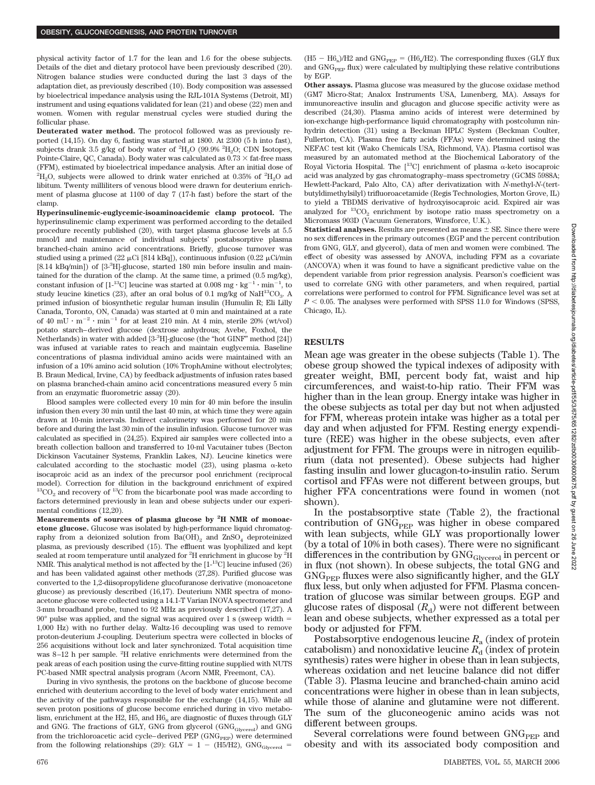physical activity factor of 1.7 for the lean and 1.6 for the obese subjects. Details of the diet and dietary protocol have been previously described (20). Nitrogen balance studies were conducted during the last 3 days of the adaptation diet, as previously described (10). Body composition was assessed by bioelectrical impedance analysis using the RJL-101A Systems (Detroit, MI) instrument and using equations validated for lean (21) and obese (22) men and women. Women with regular menstrual cycles were studied during the follicular phase.

**Deuterated water method.** The protocol followed was as previously reported (14,15). On day 6, fasting was started at 1800. At 2300 (5 h into fast), subjects drank 3.5 g/kg of body water of  $^2\rm H_2O$  (99.9%  $^2\rm H_2O;$  CDN Isotopes, Pointe-Claire, QC, Canada). Body water was calculated as  $0.73 \times$  fat-free mass (FFM), estimated by bioelectrical impedance analysis. After an initial dose of  $^{2}H_{2}O$ , subjects were allowed to drink water enriched at 0.35% of  $^{2}H_{2}O$  ad libitum. Twenty milliliters of venous blood were drawn for deuterium enrichment of plasma glucose at 1100 of day 7 (17-h fast) before the start of the clamp.

**Hyperinsulinemic-euglycemic-isoaminoacidemic clamp protocol.** The hyperinsulinemic clamp experiment was performed according to the detailed procedure recently published (20), with target plasma glucose levels at 5.5 mmol/l and maintenance of individual subjects' postabsorptive plasma branched-chain amino acid concentrations. Briefly, glucose turnover was studied using a primed (22  $\mu$ Ci [814 kBq]), continuous infusion (0.22  $\mu$ Ci/min [8.14 kBq/min]) of [3-<sup>3</sup> H]-glucose, started 180 min before insulin and maintained for the duration of the clamp. At the same time, a primed (0.5 mg/kg), constant infusion of  $[1^{-13}C]$  leucine was started at 0.008 mg  $\cdot$  kg<sup>-1</sup> $\cdot$  min<sup>-1</sup>, to study leucine kinetics (23), after an oral bolus of 0.1 mg/kg of NaH<sup>13</sup>CO<sub>3</sub>. A primed infusion of biosynthetic regular human insulin (Humulin R; Eli Lilly Canada, Toronto, ON, Canada) was started at 0 min and maintained at a rate of 40 mU  $\cdot$   $\mathrm{m}^{-2}$   $\cdot$   $\mathrm{min}^{-1}$  for at least 210 min. At 4 min, sterile 20% (wt/vol) potato starch–derived glucose (dextrose anhydrous; Avebe, Foxhol, the Netherlands) in water with added [3<sup>.3</sup>H]-glucose (the "hot GINF" method [24]) was infused at variable rates to reach and maintain euglycemia. Baseline concentrations of plasma individual amino acids were maintained with an infusion of a 10% amino acid solution (10% TrophAmine without electrolytes; B. Braun Medical, Irvine, CA) by feedback adjustments of infusion rates based on plasma branched-chain amino acid concentrations measured every 5 min from an enzymatic fluorometric assay (20).

Blood samples were collected every 10 min for 40 min before the insulin infusion then every 30 min until the last 40 min, at which time they were again drawn at 10-min intervals. Indirect calorimetry was performed for 20 min before and during the last 30 min of the insulin infusion. Glucose turnover was calculated as specified in (24,25). Expired air samples were collected into a breath collection balloon and transferred to 10-ml Vacutainer tubes (Becton Dickinson Vacutainer Systems, Franklin Lakes, NJ). Leucine kinetics were calculated according to the stochastic model (23), using plasma  $\alpha$ -keto isocaproic acid as an index of the precursor pool enrichment (reciprocal model). Correction for dilution in the background enrichment of expired  $13^1$ CO<sub>2</sub> and recovery of  $13^1$ C from the bicarbonate pool was made according to factors determined previously in lean and obese subjects under our experimental conditions (12,20).

**Measurements of sources of plasma glucose by <sup>2</sup> H NMR of monoacetone glucose.** Glucose was isolated by high-performance liquid chromatography from a deionized solution from  $Ba(OH)_{2}$  and  $ZnSO_{4}$  deproteinized plasma, as previously described (15). The effluent was lyophilized and kept sealed at room temperature until analyzed for  $^2{\rm H}$  enrichment in glucose by  $^2{\rm H}$ NMR. This analytical method is not affected by the [1-13C] leucine infused (26) and has been validated against other methods (27,28). Purified glucose was converted to the 1,2-diisopropylidene glucofuranose derivative (monoacetone glucose) as previously described (16,17). Deuterium NMR spectra of monoacetone glucose were collected using a 14.1-T Varian INOVA spectrometer and 3-mm broadband probe, tuned to 92 MHz as previously described (17,27). A 90° pulse was applied, and the signal was acquired over 1 s (sweep width 1,000 Hz) with no further delay. Waltz-16 decoupling was used to remove proton-deuterium J-coupling. Deuterium spectra were collected in blocks of 256 acquisitions without lock and later synchronized. Total acquisition time was 8-12 h per sample. <sup>2</sup>H relative enrichments were determined from the peak areas of each position using the curve-fitting routine supplied with NUTS PC-based NMR spectral analysis program (Acorn NMR, Freemont, CA).

During in vivo synthesis, the protons on the backbone of glucose become enriched with deuterium according to the level of body water enrichment and the activity of the pathways responsible for the exchange (14,15). While all seven proton positions of glucose become enriched during in vivo metabolism, enrichment at the H2, H5, and  $H6<sub>S</sub>$  are diagnostic of fluxes through GLY and GNG. The fractions of GLY, GNG from glycerol (GNG<sub>Glycerol</sub>) and GNG from the trichloroacetic acid cycle–derived PEP ( $GNG_{\rm PEP}$ ) were determined from the following relationships (29): GLY = 1 - (H5/H2), GNG<sub>Glycerol</sub> =

(H5  $-$  H6<sub>s</sub>)/H2 and GNG<sub>PEP</sub> = (H6<sub>s</sub>/H2). The corresponding fluxes (GLY flux and  $GNG<sub>PEP</sub>$  flux) were calculated by multiplying these relative contributions by EGP.

**Other assays.** Plasma glucose was measured by the glucose oxidase method (GM7 Micro-Stat; Analox Instruments USA, Lunenberg, MA). Assays for immunoreactive insulin and glucagon and glucose specific activity were as described (24,30). Plasma amino acids of interest were determined by ion-exchange high-performance liquid chromatography with postcolumn ninhydrin detection (31) using a Beckman HPLC System (Beckman Coulter, Fullerton, CA). Plasma free fatty acids (FFAs) were determined using the NEFAC test kit (Wako Chemicals USA, Richmond, VA). Plasma cortisol was measured by an automated method at the Biochemical Laboratory of the Royal Victoria Hospital. The  $[^{13}C]$  enrichment of plasma  $\alpha$ -keto isocaproic acid was analyzed by gas chromatography–mass spectrometry (GCMS 5988A; Hewlett-Packard, Palo Alto, CA) after derivatization with *N*-methyl-*N*-(tertbutyldimethylsilyl) trifluoroacetamide (Regis Technologies, Morton Grove, IL) to yield a TBDMS derivative of hydroxyisocaproic acid. Expired air was analyzed for  ${}^{13}CO_2$  enrichment by isotope ratio mass spectrometry on a Micromass 903D (Vacuum Generators, Winsforce, U.K.).

**Statistical analyses.** Results are presented as means  $\pm$  SE. Since there were no sex differences in the primary outcomes (EGP and the percent contribution from GNG, GLY, and glycerol), data of men and women were combined. The effect of obesity was assessed by ANOVA, including FFM as a covariate (ANCOVA) when it was found to have a significant predictive value on the dependent variable from prior regression analysis. Pearson's coefficient was used to correlate GNG with other parameters, and when required, partial correlations were performed to control for FFM. Significance level was set at  $P < 0.05$ . The analyses were performed with SPSS 11.0 for Windows (SPSS, Chicago, IL).

#### **RESULTS**

Mean age was greater in the obese subjects (Table 1). The obese group showed the typical indexes of adiposity with greater weight, BMI, percent body fat, waist and hip circumferences, and waist-to-hip ratio. Their FFM was higher than in the lean group. Energy intake was higher in the obese subjects as total per day but not when adjusted for FFM, whereas protein intake was higher as a total per day and when adjusted for FFM. Resting energy expenditure (REE) was higher in the obese subjects, even after adjustment for FFM. The groups were in nitrogen equilibrium (data not presented). Obese subjects had higher fasting insulin and lower glucagon-to-insulin ratio. Serum cortisol and FFAs were not different between groups, but higher FFA concentrations were found in women (not shown).

In the postabsorptive state (Table 2), the fractional contribution of GNG<sub>PEP</sub> was higher in obese compared with lean subjects, while GLY was proportionally lower (by a total of 10% in both cases). There were no significant differences in the contribution by  $\rm{GNG}_{Glycerol}$  in percent or in flux (not shown). In obese subjects, the total GNG and  $GNG<sub>PEP</sub>$  fluxes were also significantly higher, and the GLY flux less, but only when adjusted for FFM. Plasma concentration of glucose was similar between groups. EGP and glucose rates of disposal  $(R_d)$  were not different between lean and obese subjects, whether expressed as a total per body or adjusted for FFM.

Postabsorptive endogenous leucine *R*<sup>a</sup> (index of protein catabolism) and nonoxidative leucine  $R_d$  (index of protein synthesis) rates were higher in obese than in lean subjects, whereas oxidation and net leucine balance did not differ (Table 3). Plasma leucine and branched-chain amino acid concentrations were higher in obese than in lean subjects, while those of alanine and glutamine were not different. The sum of the gluconeogenic amino acids was not different between groups.

Several correlations were found between  $GNG_{PEP}$  and obesity and with its associated body composition and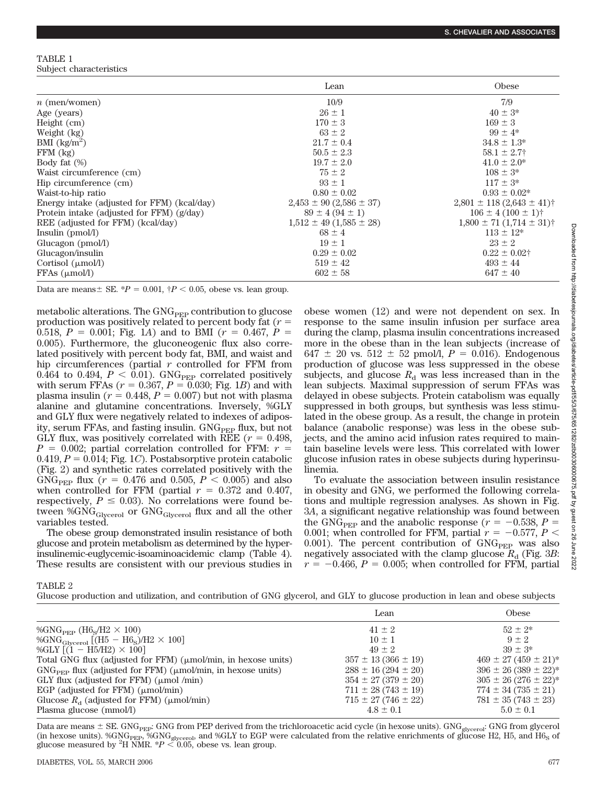TABLE 1 Subject characteristics

|                                             | Lean                            | Obese                                        |
|---------------------------------------------|---------------------------------|----------------------------------------------|
| $n$ (men/women)                             | 10/9                            | 7/9                                          |
| Age (years)                                 | $26 \pm 1$                      | $40 \pm 3^*$                                 |
| Height $(cm)$                               | $170 \pm 3$                     | $169 \pm 3$                                  |
| Weight (kg)                                 | $63 \pm 2$                      | $99 \pm 4^*$                                 |
| BMI $\frac{\text{kg}}{\text{m}^2}$          | $21.7 \pm 0.4$                  | $34.8 \pm 1.3^*$                             |
| $FFM$ $(kg)$                                | $50.5 \pm 2.3$                  | $58.1 \pm 2.7$                               |
| Body fat $(\%)$                             | $19.7 \pm 2.0$                  | $41.0 \pm 2.0^*$                             |
| Waist circumference (cm)                    | $75 \pm 2$                      | $108 \pm 3^*$                                |
| Hip circumference (cm)                      | $93 \pm 1$                      | $117 \pm 3^*$                                |
| Waist-to-hip ratio                          | $0.80 \pm 0.02$                 | $0.93 \pm 0.02^*$                            |
| Energy intake (adjusted for FFM) (kcal/day) | $2,453 \pm 90 (2,586 \pm 37)$   | $2,801 \pm 118 (2,643 \pm 41)$ †             |
| Protein intake (adjusted for FFM) (g/day)   | $89 \pm 4 (94 \pm 1)$           | $106 \pm 4 (100 \pm 1)$ †                    |
| REE (adjusted for FFM) (kcal/day)           | $1,512 \pm 49$ (1,585 $\pm$ 28) | $1,800 \pm 71$ $(1,714 \pm 31)$ <sup>†</sup> |
| Insulin (pmol/l)                            | $68 \pm 4$                      | $113 \pm 12*$                                |
| Glucagon (pmol/l)                           | $19 \pm 1$                      | $23 \pm 2$                                   |
| Glucagon/insulin                            | $0.29 \pm 0.02$                 | $0.22 \pm 0.02$ †                            |
| Cortisol $(\mu \text{mol/l})$               | $519 \pm 42$                    | $493 \pm 44$                                 |
| FFAs (µmol/l)                               | $602 \pm 58$                    | $647 \pm 40$                                 |

Data are means  $\pm$  SE.  $*P = 0.001$ ,  $\uparrow P < 0.05$ , obese vs. lean group.

metabolic alterations. The GNG<sub>PEP</sub> contribution to glucose production was positively related to percent body fat (*r* 0.518,  $P = 0.001$ ; Fig. 1*A*) and to BMI ( $r = 0.467$ ,  $P =$ 0.005). Furthermore, the gluconeogenic flux also correlated positively with percent body fat, BMI, and waist and hip circumferences (partial *r* controlled for FFM from 0.464 to 0.494,  $P < 0.01$ ). GNG<sub>PEP</sub> correlated positively with serum FFAs  $(r = 0.367, P = 0.030;$  Fig. 1*B*) and with plasma insulin ( $r = 0.448$ ,  $P = 0.007$ ) but not with plasma alanine and glutamine concentrations. Inversely, %GLY and GLY flux were negatively related to indexes of adiposity, serum FFAs, and fasting insulin.  $GNG<sub>PEP</sub>$  flux, but not GLY flux, was positively correlated with REE  $(r = 0.498,$  $P = 0.002$ ; partial correlation controlled for FFM:  $r =$  $0.419, P = 0.014$ ; Fig. 1*C*). Postabsorptive protein catabolic (Fig. 2) and synthetic rates correlated positively with the GNG<sub>PEP</sub> flux ( $r = 0.476$  and 0.505,  $P < 0.005$ ) and also when controlled for FFM (partial  $r = 0.372$  and 0.407, respectively,  $P \leq 0.03$ ). No correlations were found between %GNG<sub>Glycerol</sub> or GNG<sub>Glycerol</sub> flux and all the other variables tested.

The obese group demonstrated insulin resistance of both glucose and protein metabolism as determined by the hyperinsulinemic-euglycemic-isoaminoacidemic clamp (Table 4). These results are consistent with our previous studies in obese women (12) and were not dependent on sex. In response to the same insulin infusion per surface area during the clamp, plasma insulin concentrations increased more in the obese than in the lean subjects (increase of 647  $\pm$  20 vs. 512  $\pm$  52 pmol/l,  $P = 0.016$ ). Endogenous production of glucose was less suppressed in the obese subjects, and glucose  $R_d$  was less increased than in the lean subjects. Maximal suppression of serum FFAs was delayed in obese subjects. Protein catabolism was equally suppressed in both groups, but synthesis was less stimulated in the obese group. As a result, the change in protein balance (anabolic response) was less in the obese subjects, and the amino acid infusion rates required to maintain baseline levels were less. This correlated with lower glucose infusion rates in obese subjects during hyperinsulinemia.

To evaluate the association between insulin resistance in obesity and GNG, we performed the following correlations and multiple regression analyses. As shown in Fig. 3*A*, a significant negative relationship was found between the GNG<sub>PEP</sub> and the anabolic response ( $r = -0.538$ ,  $P =$ 0.001; when controlled for FFM, partial  $r = -0.577$ ,  $P <$ 0.001). The percent contribution of  $GNG<sub>PEP</sub>$  was also negatively associated with the clamp glucose  $R_{\rm d}$  (Fig. 3*B*:  $r = -0.466$ ,  $P = 0.005$ ; when controlled for FFM, partial

TABLE 2

|  |  | Glucose production and utilization, and contribution of GNG glycerol, and GLY to glucose production in lean and obese subjects |  |
|--|--|--------------------------------------------------------------------------------------------------------------------------------|--|
|  |  |                                                                                                                                |  |

|                                                                     | Lean                      | Obese                       |
|---------------------------------------------------------------------|---------------------------|-----------------------------|
| %GNG <sub>PEP</sub> (H6 <sub>S</sub> /H2 $\times$ 100)              | $41 \pm 2$                | $52 + 2*$                   |
| %GNG <sub>Glycerol</sub> [ $(H5 - H6s)/H2 \times 100$ ]             | $10 \pm 1$                | $9 + 2$                     |
| %GLY $[(1 - H5/H2) \times 100]$                                     | $49 \pm 2$                | $39 + 3*$                   |
| Total GNG flux (adjusted for FFM) ( $\mu$ mol/min, in hexose units) | $357 \pm 13 (366 \pm 19)$ | $469 \pm 27 (459 \pm 21)^*$ |
| $GNGPEP$ flux (adjusted for FFM) ( $\mu$ mol/min, in hexose units)  | $288 \pm 16 (294 \pm 20)$ | $396 \pm 26 (389 \pm 22)^*$ |
| GLY flux (adjusted for FFM) ( $\mu$ mol/min)                        | $354 \pm 27 (379 \pm 20)$ | $305 \pm 26 (276 \pm 22)^*$ |
| EGP (adjusted for FFM) $(\mu \text{mol/min})$                       | $711 \pm 28(743 \pm 19)$  | $774 \pm 34 (735 \pm 21)$   |
| Glucose $R_a$ (adjusted for FFM) ( $\mu$ mol/min)                   | $715 \pm 27(746 \pm 22)$  | $781 \pm 35 (743 \pm 23)$   |
| Plasma glucose (mmol/l)                                             | $4.8 \pm 0.1$             | $5.0 \pm 0.1$               |

Data are means  $\pm$  SE. GNG $_{\rm PEP}$ : GNG from PEP derived from the trichloroacetic acid cycle (in hexose units). GNG $_{\rm glycerol}$ : GNG from glycerol (in hexose units). %GNG<sub>PEP</sub>, %GNG<sub>glycero</sub><sub>b</sub> and %GLY to EGP were calculated from the relative enrichments of glucose H2, H5, and H6<sub>S</sub> of<br>glucose measured by <sup>2</sup>H NMR. \**P* < 0.05, obese vs. lean group.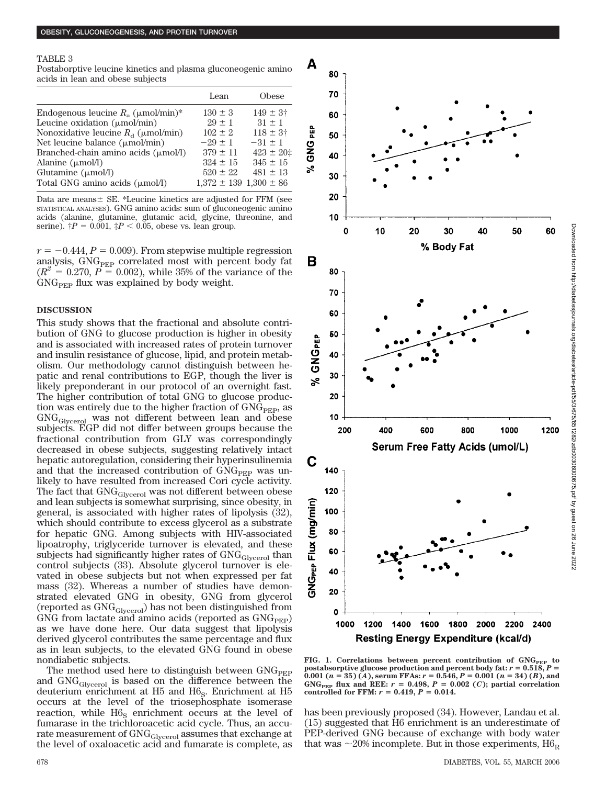#### TABLE 3

Postaborptive leucine kinetics and plasma gluconeogenic amino acids in lean and obese subjects

|                                                   | Lean                           | Obese               |
|---------------------------------------------------|--------------------------------|---------------------|
| Endogenous leucine $R_a$ ( $\mu$ mol/min)*        | $130 \pm 3$                    | $149 \pm 3^{\circ}$ |
| Leucine oxidation $(\mu \text{mol/min})$          | $29 + 1$                       | $31 + 1$            |
| Nonoxidative leucine $R_{\rm d}$ ( $\mu$ mol/min) | $102 + 2$                      | $118 \pm 3^{\circ}$ |
| Net leucine balance $(\mu \text{mol/min})$        | $-29+1$                        | $-31 \pm 1$         |
| Branched-chain amino acids $(\mu \text{mol/l})$   | $379 \pm 11$                   | $423 \pm 20$ ‡      |
| Alanine $(\mu \text{mol/l})$                      | $324 \pm 15$                   | $345 \pm 15$        |
| Glutamine $(\mu \text{mol/l})$                    | $520 \pm 22$                   | $481 \pm 13$        |
| Total GNG amino acids ( $\mu$ mol/l)              | $1,372 \pm 139$ $1,300 \pm 86$ |                     |

Data are means  $\pm$  SE. \*Leucine kinetics are adjusted for FFM (see STATISTICAL ANALYSES). GNG amino acids: sum of gluconeogenic amino acids (alanine, glutamine, glutamic acid, glycine, threonine, and serine).  $\dagger P = 0.001$ ,  $\dagger P < 0.05$ , obese vs. lean group.

 $r = -0.444$ ,  $P = 0.009$ . From stepwise multiple regression analysis, GNG<sub>PEP</sub> correlated most with percent body fat  $(R^2 = 0.270, P = 0.002)$ , while 35% of the variance of the  $\rm{GNG}_{\rm{PEP}}$  flux was explained by body weight.

#### **DISCUSSION**

This study shows that the fractional and absolute contribution of GNG to glucose production is higher in obesity and is associated with increased rates of protein turnover and insulin resistance of glucose, lipid, and protein metabolism. Our methodology cannot distinguish between hepatic and renal contributions to EGP, though the liver is likely preponderant in our protocol of an overnight fast. The higher contribution of total GNG to glucose production was entirely due to the higher fraction of  $GNG<sub>PEP</sub>$ , as GNGGlycerol was not different between lean and obese subjects. EGP did not differ between groups because the fractional contribution from GLY was correspondingly decreased in obese subjects, suggesting relatively intact hepatic autoregulation, considering their hyperinsulinemia and that the increased contribution of  $GNG<sub>PEP</sub>$  was unlikely to have resulted from increased Cori cycle activity. The fact that GNG<sub>Glycerol</sub> was not different between obese and lean subjects is somewhat surprising, since obesity, in general, is associated with higher rates of lipolysis (32), which should contribute to excess glycerol as a substrate for hepatic GNG. Among subjects with HIV-associated lipoatrophy, triglyceride turnover is elevated, and these subjects had significantly higher rates of  $GNG<sub>Glycerol</sub>$  than control subjects (33). Absolute glycerol turnover is elevated in obese subjects but not when expressed per fat mass (32). Whereas a number of studies have demonstrated elevated GNG in obesity, GNG from glycerol (reported as GNGGlycerol) has not been distinguished from GNG from lactate and amino acids (reported as  $GNG<sub>PEP</sub>$ ) as we have done here. Our data suggest that lipolysis derived glycerol contributes the same percentage and flux as in lean subjects, to the elevated GNG found in obese nondiabetic subjects.

The method used here to distinguish between  $GNG<sub>PEP</sub>$ and GNGGlycerol is based on the difference between the deuterium enrichment at  $H5$  and  $H6<sub>S</sub>$ . Enrichment at  $H5$ occurs at the level of the triosephosphate isomerase reaction, while  $H6<sub>S</sub>$  enrichment occurs at the level of fumarase in the trichloroacetic acid cycle. Thus, an accurate measurement of GNG<sub>Glycerol</sub> assumes that exchange at the level of oxaloacetic acid and fumarate is complete, as



FIG. 1. Correlations between percent contribution of GNG<sub>PEP</sub> to **postabsorptive glucose production and percent body fat:**  $r = 0.518$ ,  $P =$ **0.001**  $(n = 35)$   $(A)$ , serum FFAs:  $r = 0.546$ ,  $P = 0.001$   $(n = 34)$   $(B)$ , and  $GNG<sub>PEP</sub>$  flux and REE:  $r = 0.498$ ,  $P = 0.002$  (*C*); partial correlation **controlled for FFM:**  $r = 0.419, P = 0.014$ .

has been previously proposed (34). However, Landau et al. (15) suggested that H6 enrichment is an underestimate of PEP-derived GNG because of exchange with body water that was  ${\sim}20\%$  incomplete. But in those experiments,  ${\rm H6_R}$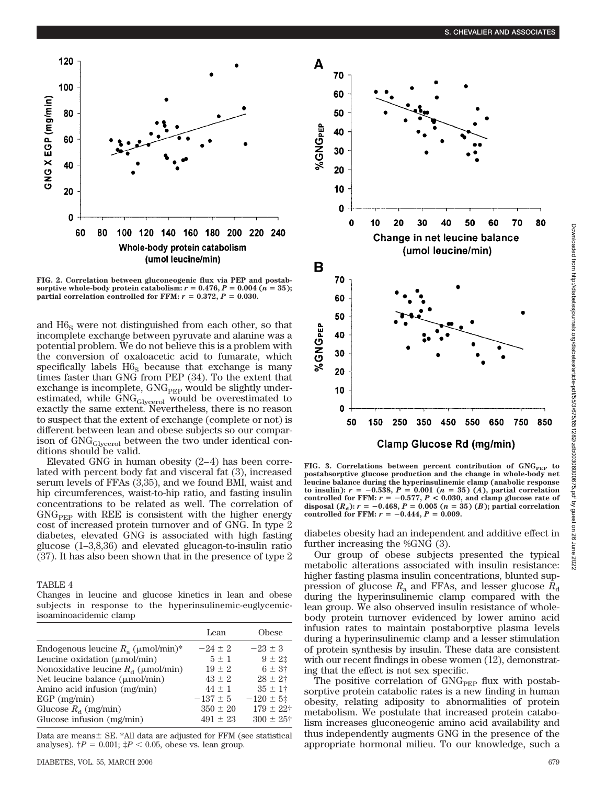

**FIG. 2. Correlation between gluconeogenic flux via PEP and postabsorptive whole-body protein catabolism:**  $r = 0.476$ ,  $P = 0.004$  ( $n = 35$ ); **partial correlation controlled for FFM:**  $r = 0.372$ ,  $P = 0.030$ .

and  $H6<sub>s</sub>$  were not distinguished from each other, so that incomplete exchange between pyruvate and alanine was a potential problem. We do not believe this is a problem with the conversion of oxaloacetic acid to fumarate, which specifically labels  $H6<sub>S</sub>$  because that exchange is many times faster than GNG from PEP (34). To the extent that exchange is incomplete,  $GNG<sub>PEP</sub>$  would be slightly underestimated, while GNG<sub>Glycerol</sub> would be overestimated to exactly the same extent. Nevertheless, there is no reason to suspect that the extent of exchange (complete or not) is different between lean and obese subjects so our comparison of  $GNG<sub>Glycerol</sub>$  between the two under identical conditions should be valid.

Elevated GNG in human obesity (2–4) has been correlated with percent body fat and visceral fat (3), increased serum levels of FFAs (3,35), and we found BMI, waist and hip circumferences, waist-to-hip ratio, and fasting insulin concentrations to be related as well. The correlation of  $GNG<sub>PEP</sub>$  with REE is consistent with the higher energy cost of increased protein turnover and of GNG. In type 2 diabetes, elevated GNG is associated with high fasting glucose (1–3,8,36) and elevated glucagon-to-insulin ratio (37). It has also been shown that in the presence of type 2

TABLE 4

Changes in leucine and glucose kinetics in lean and obese subjects in response to the hyperinsulinemic-euglycemicisoaminoacidemic clamp

|                                                   | Lean         | Obese             |
|---------------------------------------------------|--------------|-------------------|
| Endogenous leucine $R_a$ ( $\mu$ mol/min)*        | $-24 \pm 2$  | $-23 \pm 3$       |
| Leucine oxidation $(\mu \text{mol/min})$          | $5 + 1$      | $9 \pm 2^{\pm}$   |
| Nonoxidative leucine $R_{\rm d}$ ( $\mu$ mol/min) | $19 \pm 2$   | $6 \pm 3^{\circ}$ |
| Net leucine balance $(\mu \text{mol/min})$        | $43 \pm 2$   | $28 \pm 2^{+}$    |
| Amino acid infusion (mg/min)                      | $44 + 1$     | $35 \pm 1^+$      |
| $EGP$ (mg/min)                                    | $-137 \pm 5$ | $-120 \pm 5$ ‡    |
| Glucose $R_a$ (mg/min)                            | $350 \pm 20$ | $179 \pm 22$ †    |
| Glucose infusion (mg/min)                         | $491 \pm 23$ | $300 \pm 25$ †    |

Data are means  $\pm$  SE. \*All data are adjusted for FFM (see statistical analyses).  $\dot{\tau}P = 0.001$ ;  $\dot{\tau}P < 0.05$ , obese vs. lean group.



**FIG. 3. Correlations between percent contribution of GNG<sub>PEP</sub> to postabsorptive glucose production and the change in whole-body net leucine balance during the hyperinsulinemic clamp (anabolic response**  $t$ **o** insulin):  $r = -0.538, P = 0.001$  ( $n = 35$ ) (*A*), partial correlation controlled for FFM:  $r = -0.577$ ,  $P < 0.030$ , and clamp glucose rate of **disposal**  $(R_a)$ :  $r = -0.468$ ,  $P = 0.005$   $(n = 35)$   $(B)$ ; partial correlation **controlled for FFM:**  $r = -0.444$ ,  $P = 0.009$ .

diabetes obesity had an independent and additive effect in further increasing the %GNG (3).

Our group of obese subjects presented the typical metabolic alterations associated with insulin resistance: higher fasting plasma insulin concentrations, blunted suppression of glucose  $R_a$  and FFAs, and lesser glucose  $R_d$ during the hyperinsulinemic clamp compared with the lean group. We also observed insulin resistance of wholebody protein turnover evidenced by lower amino acid infusion rates to maintain postaborptive plasma levels during a hyperinsulinemic clamp and a lesser stimulation of protein synthesis by insulin. These data are consistent with our recent findings in obese women  $(12)$ , demonstrating that the effect is not sex specific.

The positive correlation of GNG<sub>PEP</sub> flux with postabsorptive protein catabolic rates is a new finding in human obesity, relating adiposity to abnormalities of protein metabolism. We postulate that increased protein catabolism increases gluconeogenic amino acid availability and thus independently augments GNG in the presence of the appropriate hormonal milieu. To our knowledge, such a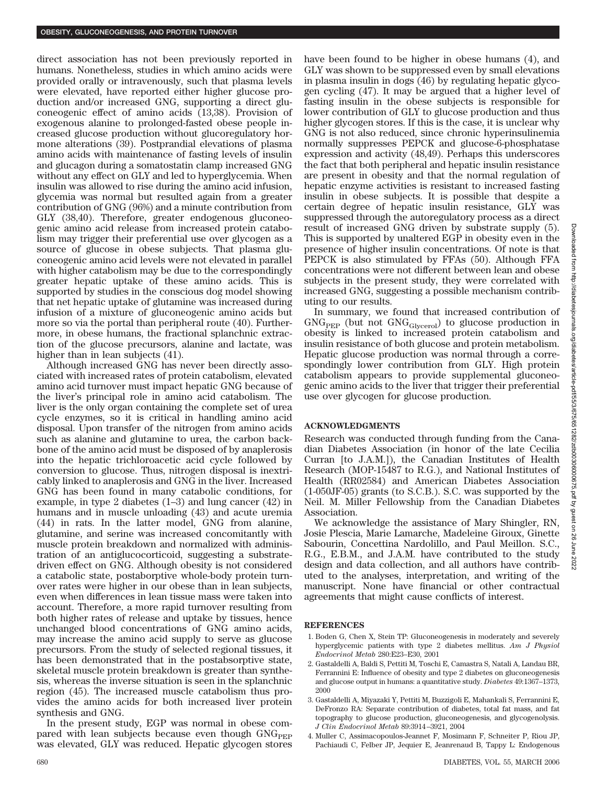direct association has not been previously reported in humans. Nonetheless, studies in which amino acids were provided orally or intravenously, such that plasma levels were elevated, have reported either higher glucose production and/or increased GNG, supporting a direct gluconeogenic effect of amino acids (13,38). Provision of exogenous alanine to prolonged-fasted obese people increased glucose production without glucoregulatory hormone alterations (39). Postprandial elevations of plasma amino acids with maintenance of fasting levels of insulin and glucagon during a somatostatin clamp increased GNG without any effect on GLY and led to hyperglycemia. When insulin was allowed to rise during the amino acid infusion, glycemia was normal but resulted again from a greater contribution of GNG (96%) and a minute contribution from GLY (38,40). Therefore, greater endogenous gluconeogenic amino acid release from increased protein catabolism may trigger their preferential use over glycogen as a source of glucose in obese subjects. That plasma gluconeogenic amino acid levels were not elevated in parallel with higher catabolism may be due to the correspondingly greater hepatic uptake of these amino acids. This is supported by studies in the conscious dog model showing that net hepatic uptake of glutamine was increased during infusion of a mixture of gluconeogenic amino acids but more so via the portal than peripheral route (40). Furthermore, in obese humans, the fractional splanchnic extraction of the glucose precursors, alanine and lactate, was higher than in lean subjects (41).

Although increased GNG has never been directly associated with increased rates of protein catabolism, elevated amino acid turnover must impact hepatic GNG because of the liver's principal role in amino acid catabolism. The liver is the only organ containing the complete set of urea cycle enzymes, so it is critical in handling amino acid disposal. Upon transfer of the nitrogen from amino acids such as alanine and glutamine to urea, the carbon backbone of the amino acid must be disposed of by anaplerosis into the hepatic trichloroacetic acid cycle followed by conversion to glucose. Thus, nitrogen disposal is inextricably linked to anaplerosis and GNG in the liver. Increased GNG has been found in many catabolic conditions, for example, in type 2 diabetes (1–3) and lung cancer (42) in humans and in muscle unloading (43) and acute uremia (44) in rats. In the latter model, GNG from alanine, glutamine, and serine was increased concomitantly with muscle protein breakdown and normalized with administration of an antiglucocorticoid, suggesting a substratedriven effect on GNG. Although obesity is not considered a catabolic state, postaborptive whole-body protein turnover rates were higher in our obese than in lean subjects, even when differences in lean tissue mass were taken into account. Therefore, a more rapid turnover resulting from both higher rates of release and uptake by tissues, hence unchanged blood concentrations of GNG amino acids, may increase the amino acid supply to serve as glucose precursors. From the study of selected regional tissues, it has been demonstrated that in the postabsorptive state, skeletal muscle protein breakdown is greater than synthesis, whereas the inverse situation is seen in the splanchnic region (45). The increased muscle catabolism thus provides the amino acids for both increased liver protein synthesis and GNG.

In the present study, EGP was normal in obese compared with lean subjects because even though  $GNG<sub>PEP</sub>$ was elevated, GLY was reduced. Hepatic glycogen stores have been found to be higher in obese humans (4), and GLY was shown to be suppressed even by small elevations in plasma insulin in dogs (46) by regulating hepatic glycogen cycling (47). It may be argued that a higher level of fasting insulin in the obese subjects is responsible for lower contribution of GLY to glucose production and thus higher glycogen stores. If this is the case, it is unclear why GNG is not also reduced, since chronic hyperinsulinemia normally suppresses PEPCK and glucose-6-phosphatase expression and activity (48,49). Perhaps this underscores the fact that both peripheral and hepatic insulin resistance are present in obesity and that the normal regulation of hepatic enzyme activities is resistant to increased fasting insulin in obese subjects. It is possible that despite a certain degree of hepatic insulin resistance, GLY was suppressed through the autoregulatory process as a direct result of increased GNG driven by substrate supply (5). This is supported by unaltered EGP in obesity even in the presence of higher insulin concentrations. Of note is that PEPCK is also stimulated by FFAs (50). Although FFA concentrations were not different between lean and obese subjects in the present study, they were correlated with increased GNG, suggesting a possible mechanism contributing to our results.

In summary, we found that increased contribution of  $GNG<sub>PEP</sub>$  (but not  $GNG<sub>Glycerol</sub>$ ) to glucose production in obesity is linked to increased protein catabolism and insulin resistance of both glucose and protein metabolism. Hepatic glucose production was normal through a correspondingly lower contribution from GLY. High protein catabolism appears to provide supplemental gluconeogenic amino acids to the liver that trigger their preferential use over glycogen for glucose production.

## **ACKNOWLEDGMENTS**

Research was conducted through funding from the Canadian Diabetes Association (in honor of the late Cecilia Curran [to J.A.M.]), the Canadian Institutes of Health Research (MOP-15487 to R.G.), and National Institutes of Health (RR02584) and American Diabetes Association (1-050JF-05) grants (to S.C.B.). S.C. was supported by the Neil. M. Miller Fellowship from the Canadian Diabetes Association.

We acknowledge the assistance of Mary Shingler, RN, Josie Plescia, Marie Lamarche, Madeleine Giroux, Ginette Sabourin, Concettina Nardolillo, and Paul Meillon. S.C., R.G., E.B.M., and J.A.M. have contributed to the study design and data collection, and all authors have contributed to the analyses, interpretation, and writing of the manuscript. None have financial or other contractual agreements that might cause conflicts of interest.

#### **REFERENCES**

- 1. Boden G, Chen X, Stein TP: Gluconeogenesis in moderately and severely hyperglycemic patients with type 2 diabetes mellitus. *Am J Physiol Endocrinol Metab* 280:E23–E30, 2001
- 2. Gastaldelli A, Baldi S, Pettiti M, Toschi E, Camastra S, Natali A, Landau BR, Ferrannini E: Influence of obesity and type 2 diabetes on gluconeogenesis and glucose output in humans: a quantitative study. *Diabetes* 49:1367–1373, 2000
- 3. Gastaldelli A, Miyazaki Y, Pettiti M, Buzzigoli E, Mahankali S, Ferrannini E, DeFronzo RA: Separate contribution of diabetes, total fat mass, and fat topography to glucose production, gluconeogenesis, and glycogenolysis. *J Clin Endocrinol Metab* 89:3914–3921, 2004
- 4. Muller C, Assimacopoulos-Jeannet F, Mosimann F, Schneiter P, Riou JP, Pachiaudi C, Felber JP, Jequier E, Jeanrenaud B, Tappy L: Endogenous